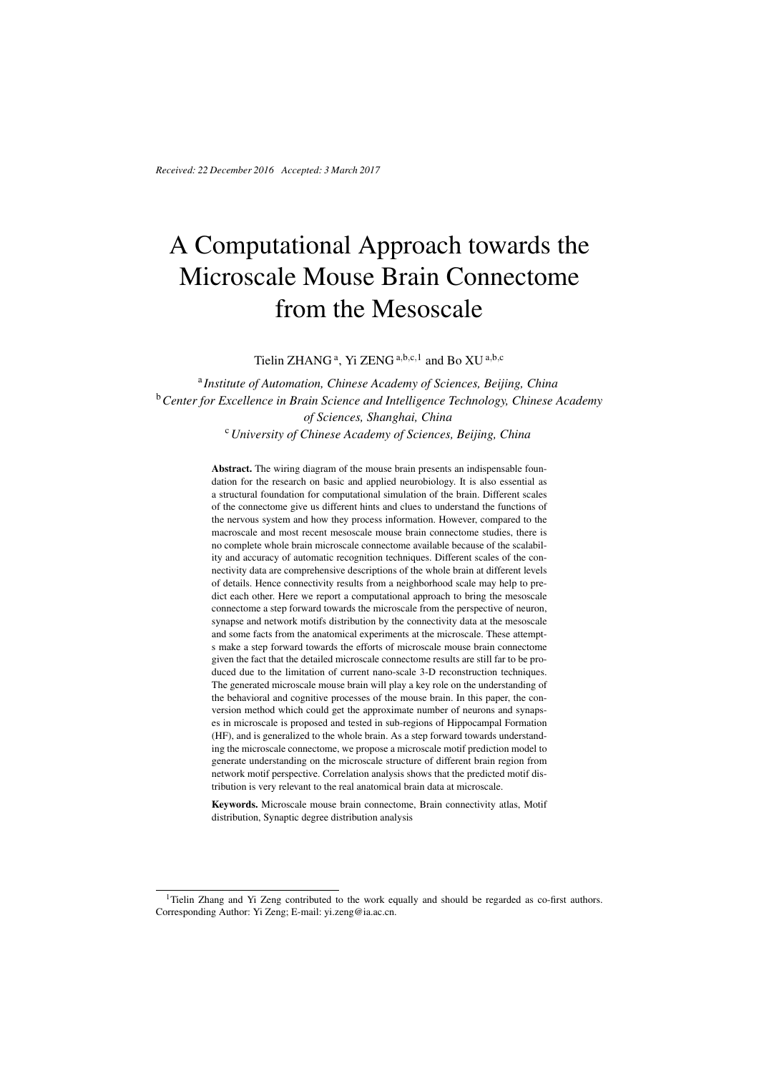*Received: 22 December 2016 Accepted: 3 March 2017*

# A Computational Approach towards the Microscale Mouse Brain Connectome from the Mesoscale

Tielin ZHANG<sup>a</sup>, Yi ZENG<sup>a,b,c,1</sup> and Bo XU<sup>a,b,c</sup>

a *Institute of Automation, Chinese Academy of Sciences, Beijing, China* <sup>b</sup>*Center for Excellence in Brain Science and Intelligence Technology, Chinese Academy of Sciences, Shanghai, China* <sup>c</sup>*University of Chinese Academy of Sciences, Beijing, China*

> Abstract. The wiring diagram of the mouse brain presents an indispensable foundation for the research on basic and applied neurobiology. It is also essential as a structural foundation for computational simulation of the brain. Different scales of the connectome give us different hints and clues to understand the functions of the nervous system and how they process information. However, compared to the macroscale and most recent mesoscale mouse brain connectome studies, there is no complete whole brain microscale connectome available because of the scalability and accuracy of automatic recognition techniques. Different scales of the connectivity data are comprehensive descriptions of the whole brain at different levels of details. Hence connectivity results from a neighborhood scale may help to predict each other. Here we report a computational approach to bring the mesoscale connectome a step forward towards the microscale from the perspective of neuron, synapse and network motifs distribution by the connectivity data at the mesoscale and some facts from the anatomical experiments at the microscale. These attempts make a step forward towards the efforts of microscale mouse brain connectome given the fact that the detailed microscale connectome results are still far to be produced due to the limitation of current nano-scale 3-D reconstruction techniques. The generated microscale mouse brain will play a key role on the understanding of the behavioral and cognitive processes of the mouse brain. In this paper, the conversion method which could get the approximate number of neurons and synapses in microscale is proposed and tested in sub-regions of Hippocampal Formation (HF), and is generalized to the whole brain. As a step forward towards understanding the microscale connectome, we propose a microscale motif prediction model to generate understanding on the microscale structure of different brain region from network motif perspective. Correlation analysis shows that the predicted motif distribution is very relevant to the real anatomical brain data at microscale.

> Keywords. Microscale mouse brain connectome, Brain connectivity atlas, Motif distribution, Synaptic degree distribution analysis

<sup>&</sup>lt;sup>1</sup>Tielin Zhang and Yi Zeng contributed to the work equally and should be regarded as co-first authors. Corresponding Author: Yi Zeng; E-mail: yi.zeng@ia.ac.cn.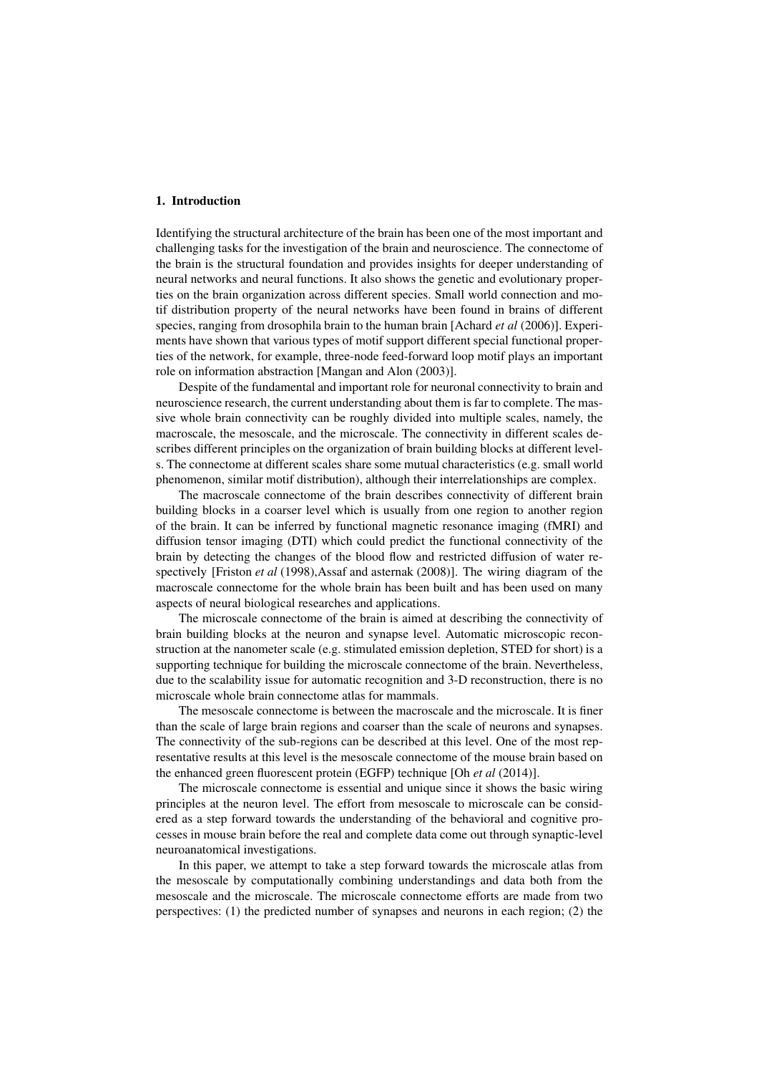# 1. Introduction

Identifying the structural architecture of the brain has been one of the most important and challenging tasks for the investigation of the brain and neuroscience. The connectome of the brain is the structural foundation and provides insights for deeper understanding of neural networks and neural functions. It also shows the genetic and evolutionary properties on the brain organization across different species. Small world connection and motif distribution property of the neural networks have been found in brains of different species, ranging from drosophila brain to the human brain [Achard *et al* (2006)]. Experiments have shown that various types of motif support different special functional properties of the network, for example, three-node feed-forward loop motif plays an important role on information abstraction [Mangan and Alon (2003)].

Despite of the fundamental and important role for neuronal connectivity to brain and neuroscience research, the current understanding about them is far to complete. The massive whole brain connectivity can be roughly divided into multiple scales, namely, the macroscale, the mesoscale, and the microscale. The connectivity in different scales describes different principles on the organization of brain building blocks at different levels. The connectome at different scales share some mutual characteristics (e.g. small world phenomenon, similar motif distribution), although their interrelationships are complex.

The macroscale connectome of the brain describes connectivity of different brain building blocks in a coarser level which is usually from one region to another region of the brain. It can be inferred by functional magnetic resonance imaging (fMRI) and diffusion tensor imaging (DTI) which could predict the functional connectivity of the brain by detecting the changes of the blood flow and restricted diffusion of water respectively [Friston *et al* (1998),Assaf and asternak (2008)]. The wiring diagram of the macroscale connectome for the whole brain has been built and has been used on many aspects of neural biological researches and applications.

The microscale connectome of the brain is aimed at describing the connectivity of brain building blocks at the neuron and synapse level. Automatic microscopic reconstruction at the nanometer scale (e.g. stimulated emission depletion, STED for short) is a supporting technique for building the microscale connectome of the brain. Nevertheless, due to the scalability issue for automatic recognition and 3-D reconstruction, there is no microscale whole brain connectome atlas for mammals.

The mesoscale connectome is between the macroscale and the microscale. It is finer than the scale of large brain regions and coarser than the scale of neurons and synapses. The connectivity of the sub-regions can be described at this level. One of the most representative results at this level is the mesoscale connectome of the mouse brain based on the enhanced green fluorescent protein (EGFP) technique [Oh *et al* (2014)].

The microscale connectome is essential and unique since it shows the basic wiring principles at the neuron level. The effort from mesoscale to microscale can be considered as a step forward towards the understanding of the behavioral and cognitive processes in mouse brain before the real and complete data come out through synaptic-level neuroanatomical investigations.

In this paper, we attempt to take a step forward towards the microscale atlas from the mesoscale by computationally combining understandings and data both from the mesoscale and the microscale. The microscale connectome efforts are made from two perspectives: (1) the predicted number of synapses and neurons in each region; (2) the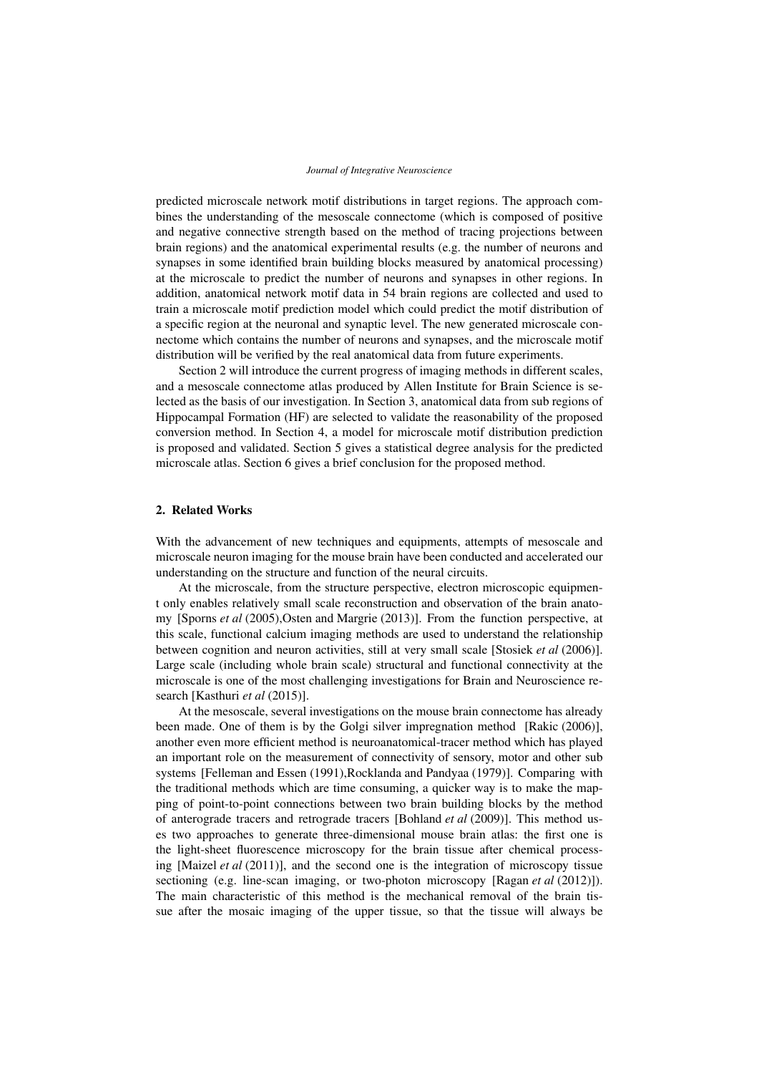predicted microscale network motif distributions in target regions. The approach combines the understanding of the mesoscale connectome (which is composed of positive and negative connective strength based on the method of tracing projections between brain regions) and the anatomical experimental results (e.g. the number of neurons and synapses in some identified brain building blocks measured by anatomical processing) at the microscale to predict the number of neurons and synapses in other regions. In addition, anatomical network motif data in 54 brain regions are collected and used to train a microscale motif prediction model which could predict the motif distribution of a specific region at the neuronal and synaptic level. The new generated microscale connectome which contains the number of neurons and synapses, and the microscale motif distribution will be verified by the real anatomical data from future experiments.

Section 2 will introduce the current progress of imaging methods in different scales, and a mesoscale connectome atlas produced by Allen Institute for Brain Science is selected as the basis of our investigation. In Section 3, anatomical data from sub regions of Hippocampal Formation (HF) are selected to validate the reasonability of the proposed conversion method. In Section 4, a model for microscale motif distribution prediction is proposed and validated. Section 5 gives a statistical degree analysis for the predicted microscale atlas. Section 6 gives a brief conclusion for the proposed method.

# 2. Related Works

With the advancement of new techniques and equipments, attempts of mesoscale and microscale neuron imaging for the mouse brain have been conducted and accelerated our understanding on the structure and function of the neural circuits.

At the microscale, from the structure perspective, electron microscopic equipment only enables relatively small scale reconstruction and observation of the brain anatomy [Sporns *et al* (2005),Osten and Margrie (2013)]. From the function perspective, at this scale, functional calcium imaging methods are used to understand the relationship between cognition and neuron activities, still at very small scale [Stosiek *et al* (2006)]. Large scale (including whole brain scale) structural and functional connectivity at the microscale is one of the most challenging investigations for Brain and Neuroscience research [Kasthuri *et al* (2015)].

At the mesoscale, several investigations on the mouse brain connectome has already been made. One of them is by the Golgi silver impregnation method [Rakic (2006)], another even more efficient method is neuroanatomical-tracer method which has played an important role on the measurement of connectivity of sensory, motor and other sub systems [Felleman and Essen (1991),Rocklanda and Pandyaa (1979)]. Comparing with the traditional methods which are time consuming, a quicker way is to make the mapping of point-to-point connections between two brain building blocks by the method of anterograde tracers and retrograde tracers [Bohland *et al* (2009)]. This method uses two approaches to generate three-dimensional mouse brain atlas: the first one is the light-sheet fluorescence microscopy for the brain tissue after chemical processing [Maizel *et al* (2011)], and the second one is the integration of microscopy tissue sectioning (e.g. line-scan imaging, or two-photon microscopy [Ragan *et al* (2012)]). The main characteristic of this method is the mechanical removal of the brain tissue after the mosaic imaging of the upper tissue, so that the tissue will always be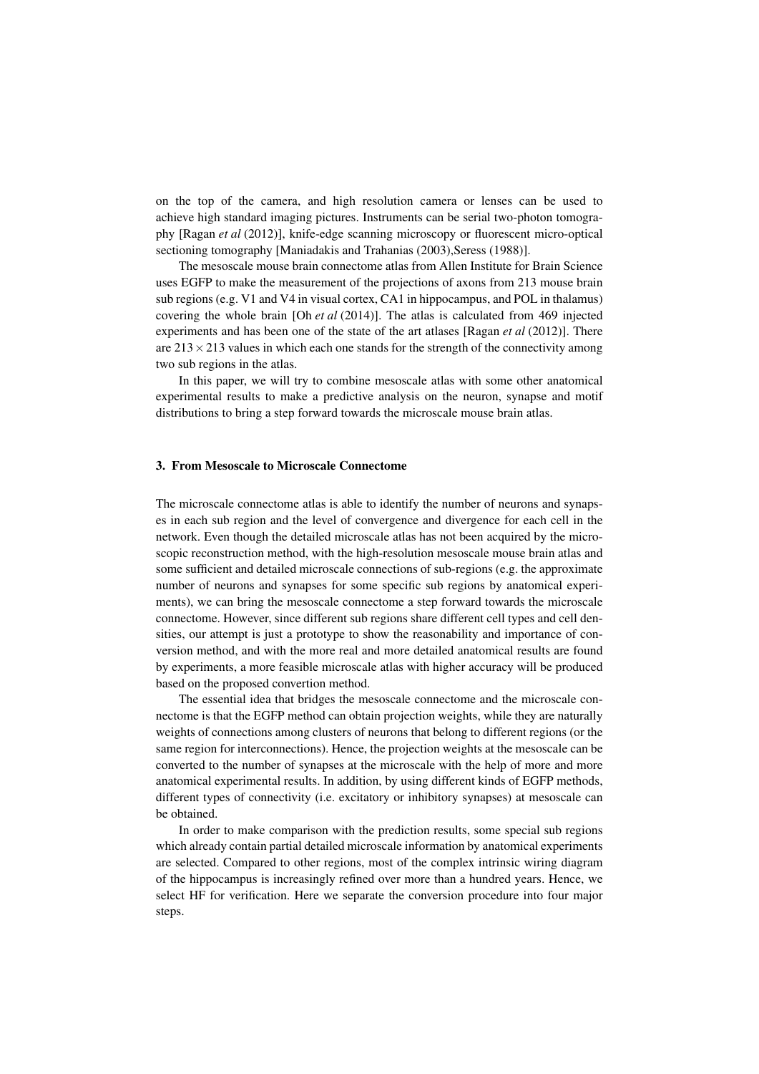on the top of the camera, and high resolution camera or lenses can be used to achieve high standard imaging pictures. Instruments can be serial two-photon tomography [Ragan *et al* (2012)], knife-edge scanning microscopy or fluorescent micro-optical sectioning tomography [Maniadakis and Trahanias (2003), Seress (1988)].

The mesoscale mouse brain connectome atlas from Allen Institute for Brain Science uses EGFP to make the measurement of the projections of axons from 213 mouse brain sub regions (e.g. V1 and V4 in visual cortex, CA1 in hippocampus, and POL in thalamus) covering the whole brain [Oh *et al* (2014)]. The atlas is calculated from 469 injected experiments and has been one of the state of the art atlases [Ragan *et al* (2012)]. There are  $213 \times 213$  values in which each one stands for the strength of the connectivity among two sub regions in the atlas.

In this paper, we will try to combine mesoscale atlas with some other anatomical experimental results to make a predictive analysis on the neuron, synapse and motif distributions to bring a step forward towards the microscale mouse brain atlas.

# 3. From Mesoscale to Microscale Connectome

The microscale connectome atlas is able to identify the number of neurons and synapses in each sub region and the level of convergence and divergence for each cell in the network. Even though the detailed microscale atlas has not been acquired by the microscopic reconstruction method, with the high-resolution mesoscale mouse brain atlas and some sufficient and detailed microscale connections of sub-regions (e.g. the approximate number of neurons and synapses for some specific sub regions by anatomical experiments), we can bring the mesoscale connectome a step forward towards the microscale connectome. However, since different sub regions share different cell types and cell densities, our attempt is just a prototype to show the reasonability and importance of conversion method, and with the more real and more detailed anatomical results are found by experiments, a more feasible microscale atlas with higher accuracy will be produced based on the proposed convertion method.

The essential idea that bridges the mesoscale connectome and the microscale connectome is that the EGFP method can obtain projection weights, while they are naturally weights of connections among clusters of neurons that belong to different regions (or the same region for interconnections). Hence, the projection weights at the mesoscale can be converted to the number of synapses at the microscale with the help of more and more anatomical experimental results. In addition, by using different kinds of EGFP methods, different types of connectivity (i.e. excitatory or inhibitory synapses) at mesoscale can be obtained.

In order to make comparison with the prediction results, some special sub regions which already contain partial detailed microscale information by anatomical experiments are selected. Compared to other regions, most of the complex intrinsic wiring diagram of the hippocampus is increasingly refined over more than a hundred years. Hence, we select HF for verification. Here we separate the conversion procedure into four major steps.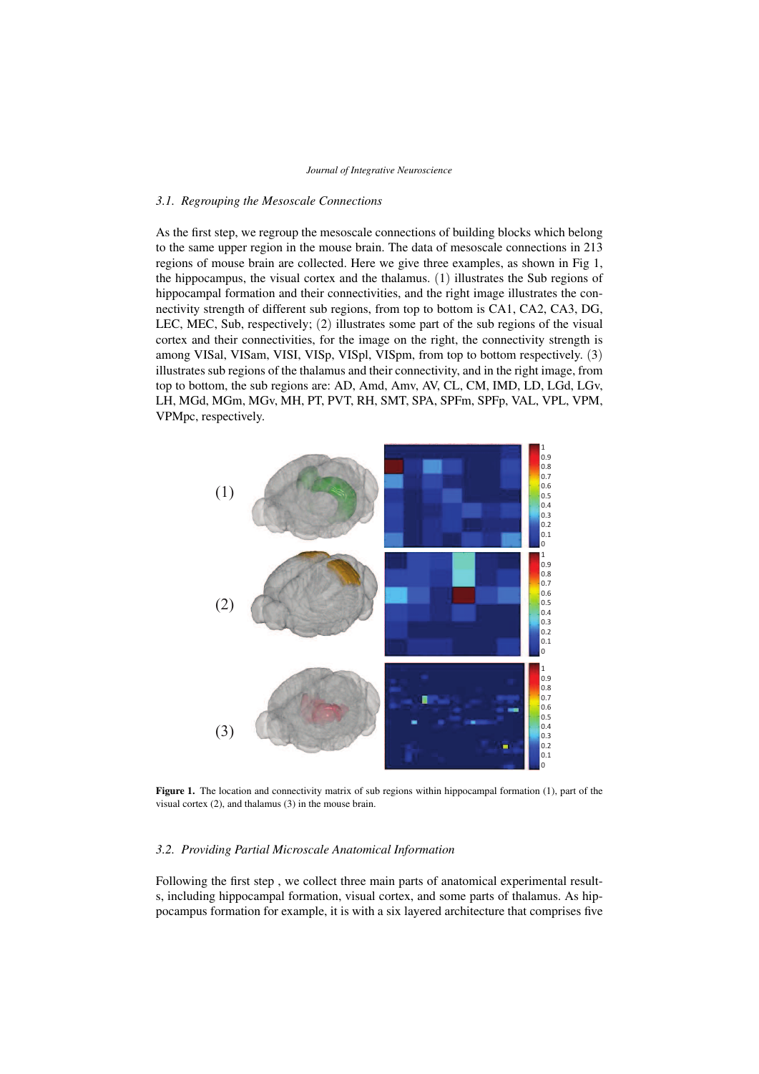# *3.1. Regrouping the Mesoscale Connections*

As the first step, we regroup the mesoscale connections of building blocks which belong to the same upper region in the mouse brain. The data of mesoscale connections in 213 regions of mouse brain are collected. Here we give three examples, as shown in Fig 1, the hippocampus, the visual cortex and the thalamus. (1) illustrates the Sub regions of hippocampal formation and their connectivities, and the right image illustrates the connectivity strength of different sub regions, from top to bottom is CA1, CA2, CA3, DG, LEC, MEC, Sub, respectively; (2) illustrates some part of the sub regions of the visual cortex and their connectivities, for the image on the right, the connectivity strength is among VISal, VISam, VISI, VISp, VISpl, VISpm, from top to bottom respectively. (3) illustrates sub regions of the thalamus and their connectivity, and in the right image, from top to bottom, the sub regions are: AD, Amd, Amv, AV, CL, CM, IMD, LD, LGd, LGv, LH, MGd, MGm, MGv, MH, PT, PVT, RH, SMT, SPA, SPFm, SPFp, VAL, VPL, VPM, VPMpc, respectively.



Figure 1. The location and connectivity matrix of sub regions within hippocampal formation (1), part of the visual cortex (2), and thalamus (3) in the mouse brain.

## *3.2. Providing Partial Microscale Anatomical Information*

Following the first step , we collect three main parts of anatomical experimental results, including hippocampal formation, visual cortex, and some parts of thalamus. As hippocampus formation for example, it is with a six layered architecture that comprises five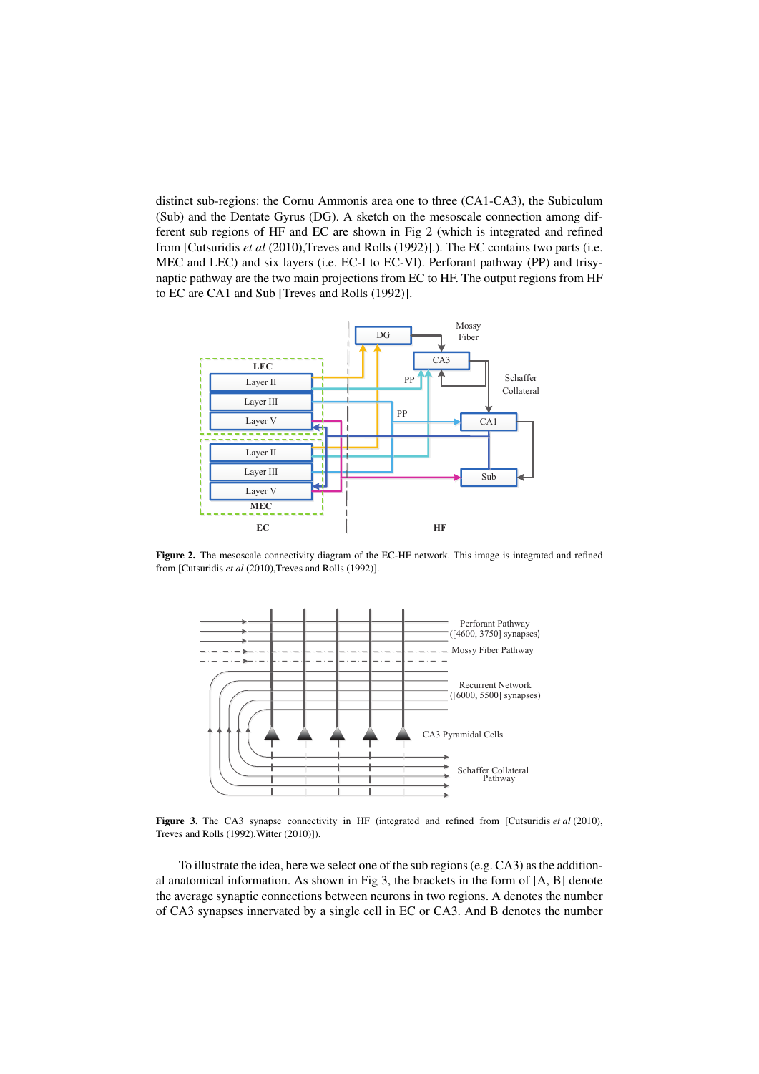distinct sub-regions: the Cornu Ammonis area one to three (CA1-CA3), the Subiculum (Sub) and the Dentate Gyrus (DG). A sketch on the mesoscale connection among different sub regions of HF and EC are shown in Fig 2 (which is integrated and refined from [Cutsuridis *et al* (2010), Treves and Rolls (1992)].). The EC contains two parts (i.e. MEC and LEC) and six layers (i.e. EC-I to EC-VI). Perforant pathway (PP) and trisynaptic pathway are the two main projections from EC to HF. The output regions from HF to EC are CA1 and Sub [Treves and Rolls (1992)].



Figure 2. The mesoscale connectivity diagram of the EC-HF network. This image is integrated and refined from [Cutsuridis et al (2010), Treves and Rolls (1992)].



Figure 3. The CA3 synapse connectivity in HF (integrated and refined from [Cutsuridis *et al* (2010), Treves and Rolls (1992),Witter (2010)]).

To illustrate the idea, here we select one of the sub regions (e.g. CA3) as the additional anatomical information. As shown in Fig 3, the brackets in the form of [A, B] denote the average synaptic connections between neurons in two regions. A denotes the number of CA3 synapses innervated by a single cell in EC or CA3. And B denotes the number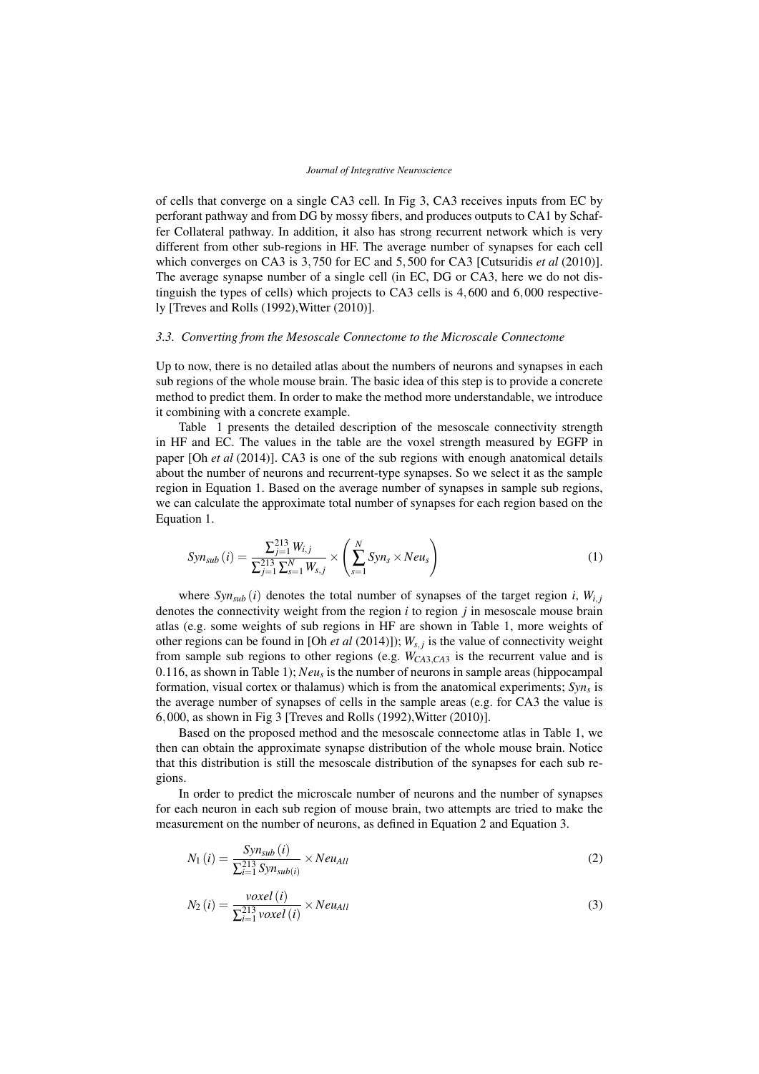of cells that converge on a single CA3 cell. In Fig 3, CA3 receives inputs from EC by perforant pathway and from DG by mossy fibers, and produces outputs to CA1 by Schaffer Collateral pathway. In addition, it also has strong recurrent network which is very different from other sub-regions in HF. The average number of synapses for each cell which converges on CA3 is 3,750 for EC and 5,500 for CA3 [Cutsuridis *et al* (2010)]. The average synapse number of a single cell (in EC, DG or CA3, here we do not distinguish the types of cells) which projects to CA3 cells is 4,600 and 6,000 respectively [Treves and Rolls (1992),Witter (2010)].

## *3.3. Converting from the Mesoscale Connectome to the Microscale Connectome*

Up to now, there is no detailed atlas about the numbers of neurons and synapses in each sub regions of the whole mouse brain. The basic idea of this step is to provide a concrete method to predict them. In order to make the method more understandable, we introduce it combining with a concrete example.

Table 1 presents the detailed description of the mesoscale connectivity strength in HF and EC. The values in the table are the voxel strength measured by EGFP in paper [Oh *et al* (2014)]. CA3 is one of the sub regions with enough anatomical details about the number of neurons and recurrent-type synapses. So we select it as the sample region in Equation 1. Based on the average number of synapses in sample sub regions, we can calculate the approximate total number of synapses for each region based on the Equation 1.

$$
Syn_{sub}(i) = \frac{\sum_{j=1}^{213} W_{i,j}}{\sum_{j=1}^{213} \sum_{s=1}^{N} W_{s,j}} \times \left(\sum_{s=1}^{N} Syn_s \times Neu_s\right)
$$
(1)

where  $Syn_{sub}(i)$  denotes the total number of synapses of the target region *i*,  $W_{i,i}$ denotes the connectivity weight from the region *i* to region *j* in mesoscale mouse brain atlas (e.g. some weights of sub regions in HF are shown in Table 1, more weights of other regions can be found in [Oh *et al* (2014)]);  $W_{s,j}$  is the value of connectivity weight from sample sub regions to other regions (e.g. *WCA*3,*CA*<sup>3</sup> is the recurrent value and is 0.116, as shown in Table 1); *Neu<sup>s</sup>* is the number of neurons in sample areas (hippocampal formation, visual cortex or thalamus) which is from the anatomical experiments; *Syn<sup>s</sup>* is the average number of synapses of cells in the sample areas (e.g. for CA3 the value is 6,000, as shown in Fig 3 [Treves and Rolls (1992),Witter (2010)].

Based on the proposed method and the mesoscale connectome atlas in Table 1, we then can obtain the approximate synapse distribution of the whole mouse brain. Notice that this distribution is still the mesoscale distribution of the synapses for each sub regions.

In order to predict the microscale number of neurons and the number of synapses for each neuron in each sub region of mouse brain, two attempts are tried to make the measurement on the number of neurons, as defined in Equation 2 and Equation 3.

$$
N_1(i) = \frac{Syn_{sub}(i)}{\sum_{i=1}^{213} Syn_{sub(i)}} \times Neu_{All}
$$
 (2)

$$
N_2(i) = \frac{voxel(i)}{\sum_{i=1}^{213} voxel(i)} \times Neu_{All}
$$
\n(3)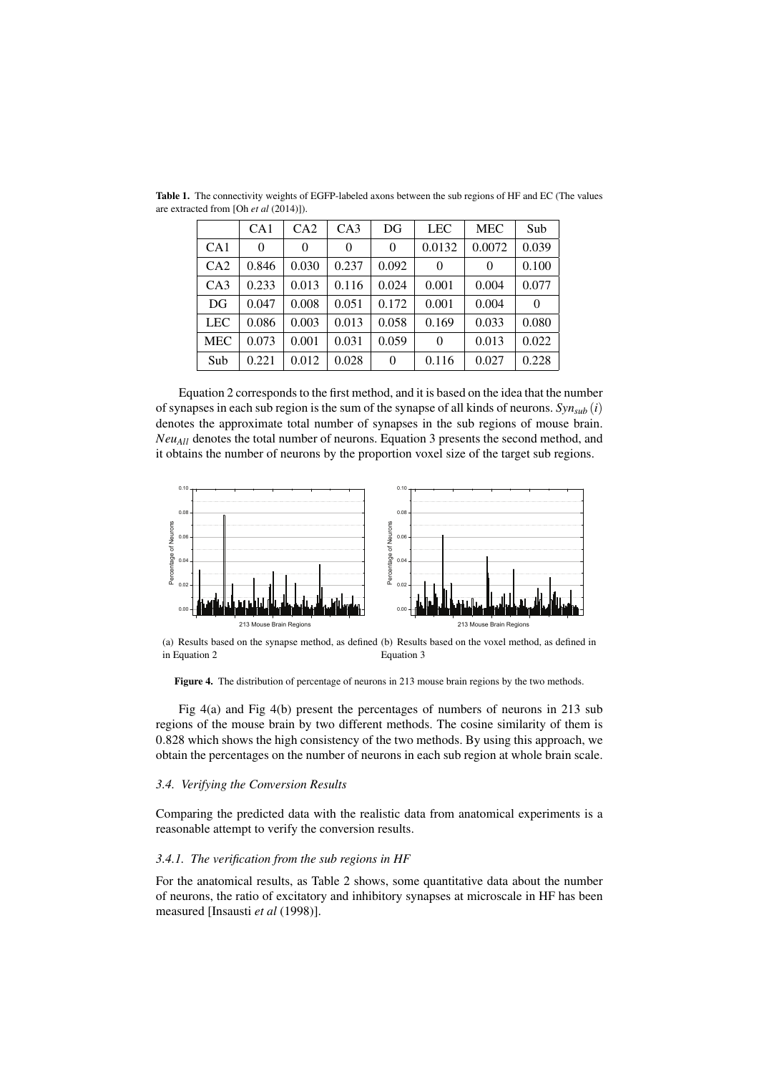|            | CA <sub>1</sub> | CA2      | CA3      | DG       | <b>LEC</b> | <b>MEC</b> | Sub      |
|------------|-----------------|----------|----------|----------|------------|------------|----------|
| CA1        | $\theta$        | $\theta$ | $\theta$ | $\theta$ | 0.0132     | 0.0072     | 0.039    |
| CA2        | 0.846           | 0.030    | 0.237    | 0.092    | $\theta$   | 0          | 0.100    |
| CA3        | 0.233           | 0.013    | 0.116    | 0.024    | 0.001      | 0.004      | 0.077    |
| DG         | 0.047           | 0.008    | 0.051    | 0.172    | 0.001      | 0.004      | $\Omega$ |
| <b>LEC</b> | 0.086           | 0.003    | 0.013    | 0.058    | 0.169      | 0.033      | 0.080    |
| <b>MEC</b> | 0.073           | 0.001    | 0.031    | 0.059    | $\theta$   | 0.013      | 0.022    |
| Sub        | 0.221           | 0.012    | 0.028    | $\theta$ | 0.116      | 0.027      | 0.228    |

Table 1. The connectivity weights of EGFP-labeled axons between the sub regions of HF and EC (The values are extracted from [Oh *et al* (2014)]).

Equation 2 corresponds to the first method, and it is based on the idea that the number of synapses in each sub region is the sum of the synapse of all kinds of neurons.  $Syn_{sub}(i)$ denotes the approximate total number of synapses in the sub regions of mouse brain. *NeuAll* denotes the total number of neurons. Equation 3 presents the second method, and it obtains the number of neurons by the proportion voxel size of the target sub regions.



(a) Results based on the synapse method, as defined (b) Results based on the voxel method, as defined in in Equation 2 Equation 3

Figure 4. The distribution of percentage of neurons in 213 mouse brain regions by the two methods.

Fig 4(a) and Fig 4(b) present the percentages of numbers of neurons in 213 sub regions of the mouse brain by two different methods. The cosine similarity of them is 0.828 which shows the high consistency of the two methods. By using this approach, we obtain the percentages on the number of neurons in each sub region at whole brain scale.

## *3.4. Verifying the Conversion Results*

Comparing the predicted data with the realistic data from anatomical experiments is a reasonable attempt to verify the conversion results.

## *3.4.1. The verification from the sub regions in HF*

For the anatomical results, as Table 2 shows, some quantitative data about the number of neurons, the ratio of excitatory and inhibitory synapses at microscale in HF has been measured [Insausti *et al* (1998)].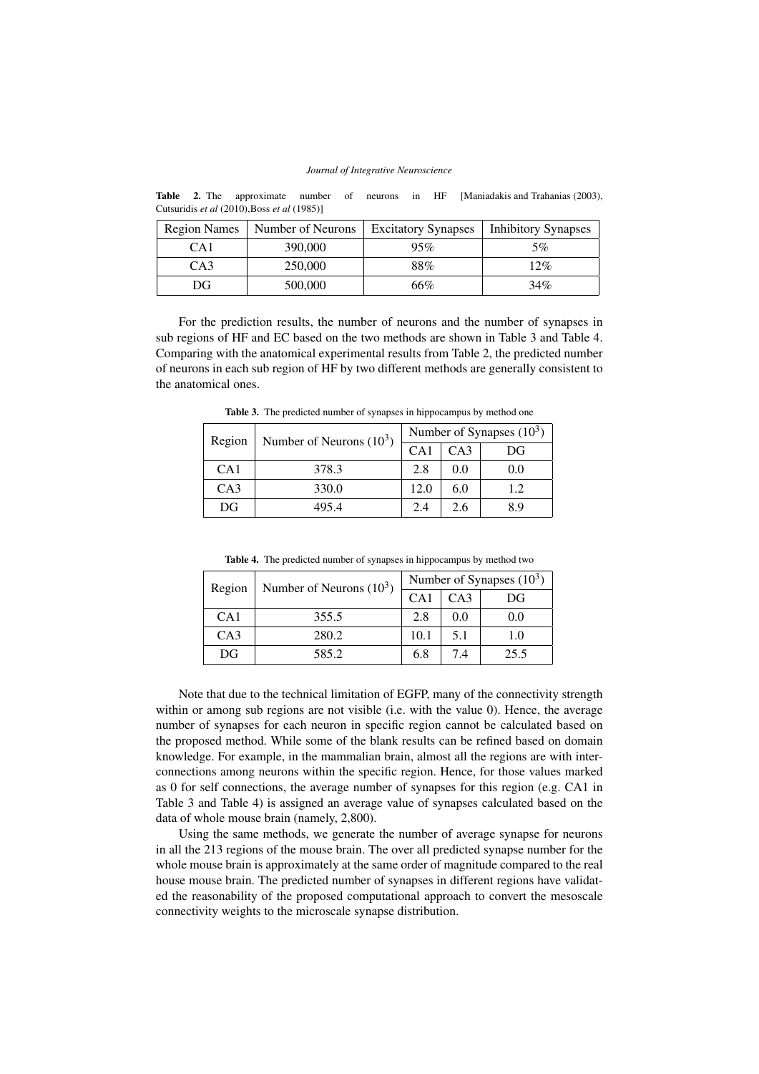Table 2. The approximate number of neurons in HF [Maniadakis and Trahanias (2003), Cutsuridis *et al* (2010),Boss *et al* (1985)]

| <b>Region Names</b> | Number of Neurons | <b>Excitatory Synapses</b> | <b>Inhibitory Synapses</b> |
|---------------------|-------------------|----------------------------|----------------------------|
| CA <sub>1</sub>     | 390,000           | 95%                        | 5%                         |
| CA3                 | 250,000           | 88%                        | 12%                        |
| DG.                 | 500,000           | 66%                        | 34%                        |

For the prediction results, the number of neurons and the number of synapses in sub regions of HF and EC based on the two methods are shown in Table 3 and Table 4. Comparing with the anatomical experimental results from Table 2, the predicted number of neurons in each sub region of HF by two different methods are generally consistent to the anatomical ones.

| Region          | Number of Neurons $(10^3)$ | Number of Synapses $(10^3)$ |     |     |  |
|-----------------|----------------------------|-----------------------------|-----|-----|--|
|                 |                            | CA1                         | CA3 | DG  |  |
| CA1             | 378.3                      | 2.8                         | 0.0 | 0.0 |  |
| CA <sub>3</sub> | 330.0                      | 12.0                        | 6.0 | 1.2 |  |
| DG              | 495.4                      | 2.4                         | 2.6 | 89  |  |

Table 3. The predicted number of synapses in hippocampus by method one

|  |  |  |  |  |  | <b>Table 4.</b> The predicted number of synapses in hippocampus by method two |
|--|--|--|--|--|--|-------------------------------------------------------------------------------|
|--|--|--|--|--|--|-------------------------------------------------------------------------------|

| Region          | Number of Neurons $(10^3)$ | Number of Synapses $(10^3)$ |     |      |  |
|-----------------|----------------------------|-----------------------------|-----|------|--|
|                 |                            | CA1                         | CA3 | DG   |  |
| CA <sub>1</sub> | 355.5                      | 2.8                         | 0.0 | 0.0  |  |
| CA <sub>3</sub> | 280.2                      | 10.1                        | 5.1 | 1.0  |  |
| DG              | 585.2                      | 6.8                         | 7.4 | 25.5 |  |

Note that due to the technical limitation of EGFP, many of the connectivity strength within or among sub regions are not visible (i.e. with the value 0). Hence, the average number of synapses for each neuron in specific region cannot be calculated based on the proposed method. While some of the blank results can be refined based on domain knowledge. For example, in the mammalian brain, almost all the regions are with interconnections among neurons within the specific region. Hence, for those values marked as 0 for self connections, the average number of synapses for this region (e.g. CA1 in Table 3 and Table 4) is assigned an average value of synapses calculated based on the data of whole mouse brain (namely, 2,800).

Using the same methods, we generate the number of average synapse for neurons in all the 213 regions of the mouse brain. The over all predicted synapse number for the whole mouse brain is approximately at the same order of magnitude compared to the real house mouse brain. The predicted number of synapses in different regions have validated the reasonability of the proposed computational approach to convert the mesoscale connectivity weights to the microscale synapse distribution.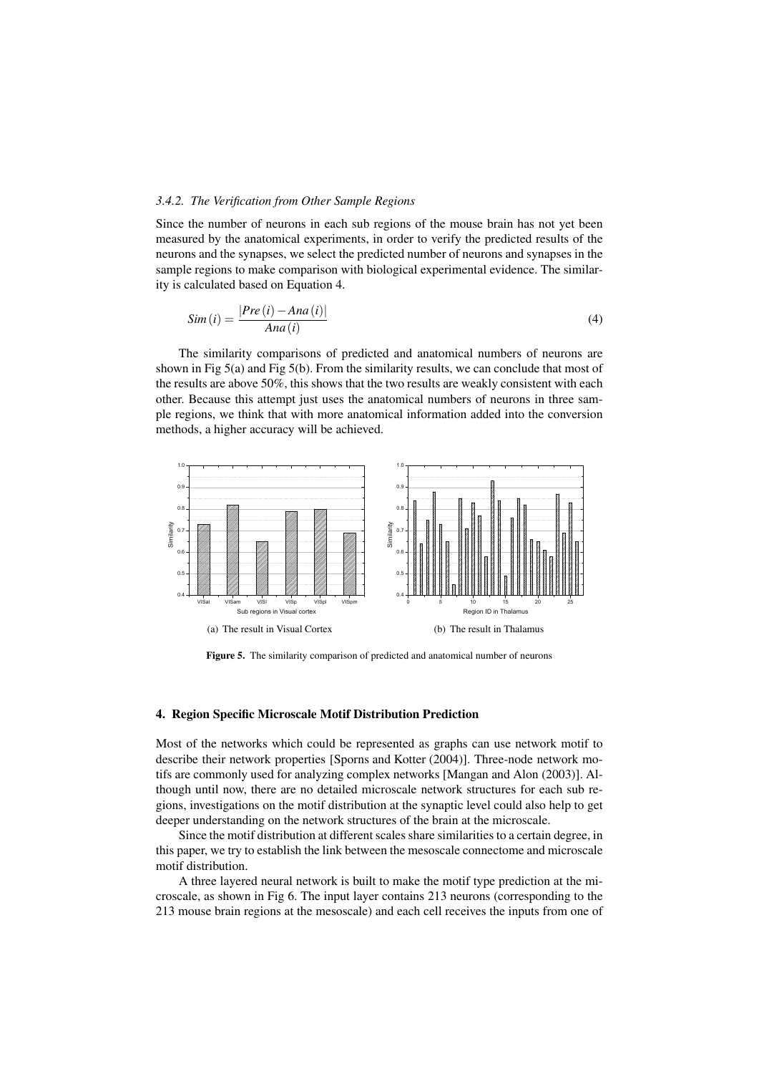# *3.4.2. The Verification from Other Sample Regions*

Since the number of neurons in each sub regions of the mouse brain has not yet been measured by the anatomical experiments, in order to verify the predicted results of the neurons and the synapses, we select the predicted number of neurons and synapses in the sample regions to make comparison with biological experimental evidence. The similarity is calculated based on Equation 4.

$$
Sim(i) = \frac{|Pre(i) - Ana(i)|}{Ana(i)}
$$
\n(4)

The similarity comparisons of predicted and anatomical numbers of neurons are shown in Fig 5(a) and Fig 5(b). From the similarity results, we can conclude that most of the results are above 50%, this shows that the two results are weakly consistent with each other. Because this attempt just uses the anatomical numbers of neurons in three sample regions, we think that with more anatomical information added into the conversion methods, a higher accuracy will be achieved.



Figure 5. The similarity comparison of predicted and anatomical number of neurons

## 4. Region Specific Microscale Motif Distribution Prediction

Most of the networks which could be represented as graphs can use network motif to describe their network properties [Sporns and Kotter (2004)]. Three-node network motifs are commonly used for analyzing complex networks [Mangan and Alon (2003)]. Although until now, there are no detailed microscale network structures for each sub regions, investigations on the motif distribution at the synaptic level could also help to get deeper understanding on the network structures of the brain at the microscale.

Since the motif distribution at different scales share similarities to a certain degree, in this paper, we try to establish the link between the mesoscale connectome and microscale motif distribution.

A three layered neural network is built to make the motif type prediction at the microscale, as shown in Fig 6. The input layer contains 213 neurons (corresponding to the 213 mouse brain regions at the mesoscale) and each cell receives the inputs from one of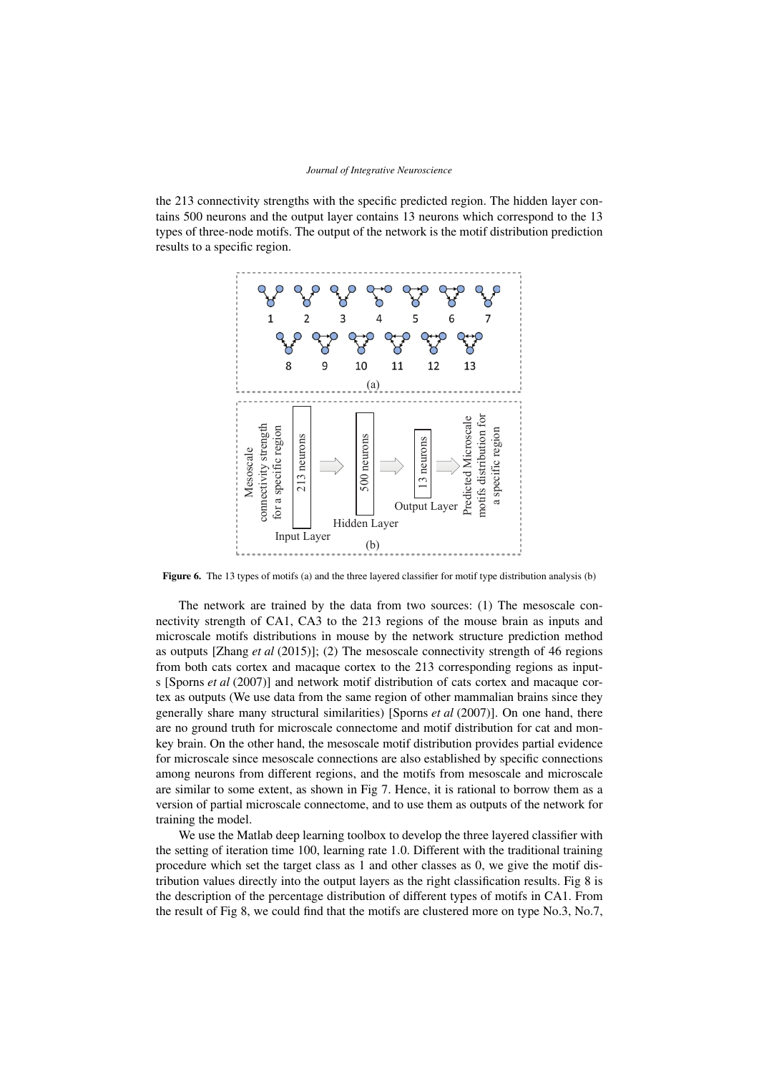the 213 connectivity strengths with the specific predicted region. The hidden layer contains 500 neurons and the output layer contains 13 neurons which correspond to the 13 types of three-node motifs. The output of the network is the motif distribution prediction results to a specific region.



Figure 6. The 13 types of motifs (a) and the three layered classifier for motif type distribution analysis (b)

The network are trained by the data from two sources: (1) The mesoscale connectivity strength of CA1, CA3 to the 213 regions of the mouse brain as inputs and microscale motifs distributions in mouse by the network structure prediction method as outputs [Zhang *et al* (2015)]; (2) The mesoscale connectivity strength of 46 regions from both cats cortex and macaque cortex to the 213 corresponding regions as inputs [Sporns *et al* (2007)] and network motif distribution of cats cortex and macaque cortex as outputs (We use data from the same region of other mammalian brains since they generally share many structural similarities) [Sporns *et al* (2007)]. On one hand, there are no ground truth for microscale connectome and motif distribution for cat and monkey brain. On the other hand, the mesoscale motif distribution provides partial evidence for microscale since mesoscale connections are also established by specific connections among neurons from different regions, and the motifs from mesoscale and microscale are similar to some extent, as shown in Fig 7. Hence, it is rational to borrow them as a version of partial microscale connectome, and to use them as outputs of the network for training the model.

We use the Matlab deep learning toolbox to develop the three layered classifier with the setting of iteration time 100, learning rate 1.0. Different with the traditional training procedure which set the target class as 1 and other classes as 0, we give the motif distribution values directly into the output layers as the right classification results. Fig 8 is the description of the percentage distribution of different types of motifs in CA1. From the result of Fig 8, we could find that the motifs are clustered more on type No.3, No.7,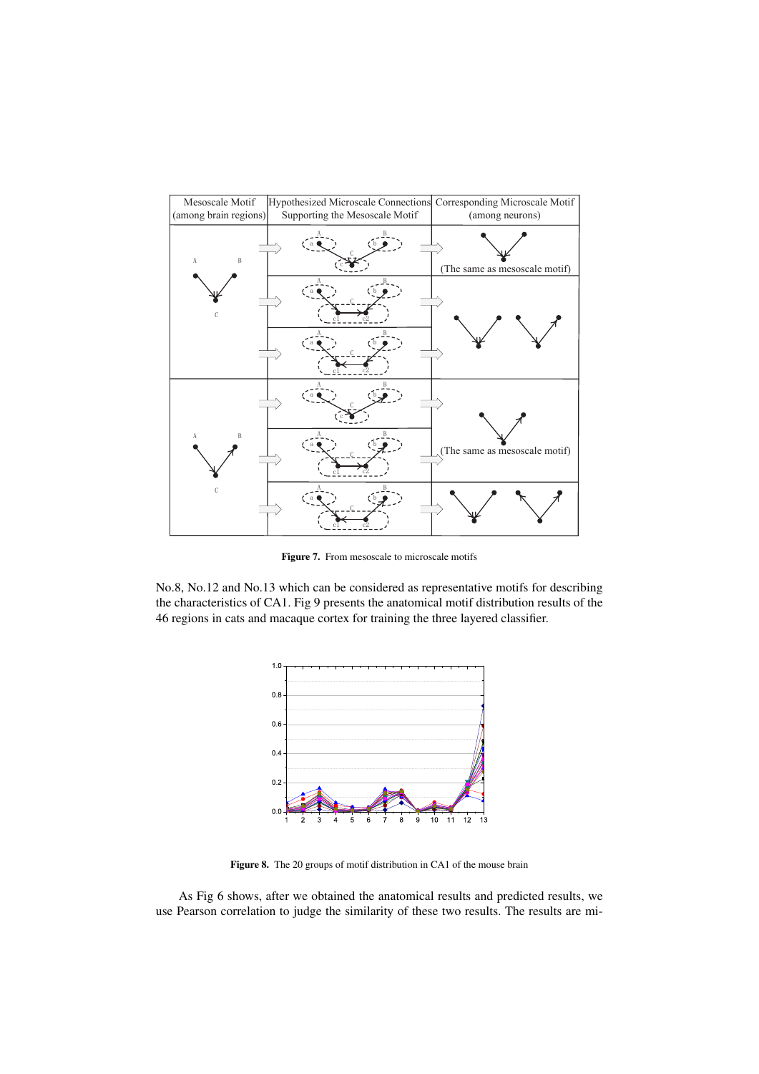

Figure 7. From mesoscale to microscale motifs

No.8, No.12 and No.13 which can be considered as representative motifs for describing the characteristics of CA1. Fig 9 presents the anatomical motif distribution results of the 46 regions in cats and macaque cortex for training the three layered classifier.



Figure 8. The 20 groups of motif distribution in CA1 of the mouse brain

As Fig 6 shows, after we obtained the anatomical results and predicted results, we use Pearson correlation to judge the similarity of these two results. The results are mi-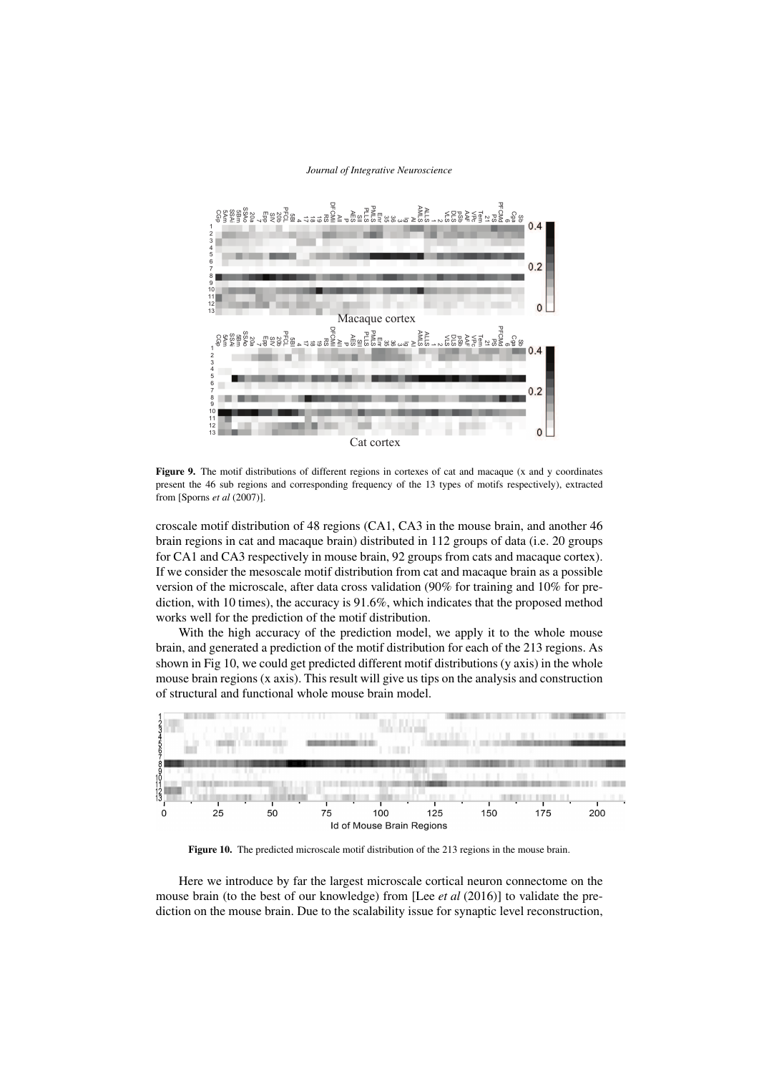

Figure 9. The motif distributions of different regions in cortexes of cat and macaque (x and y coordinates present the 46 sub regions and corresponding frequency of the 13 types of motifs respectively), extracted from [Sporns *et al* (2007)].

croscale motif distribution of 48 regions (CA1, CA3 in the mouse brain, and another 46 brain regions in cat and macaque brain) distributed in 112 groups of data (i.e. 20 groups for CA1 and CA3 respectively in mouse brain, 92 groups from cats and macaque cortex). If we consider the mesoscale motif distribution from cat and macaque brain as a possible version of the microscale, after data cross validation (90% for training and 10% for prediction, with 10 times), the accuracy is 91.6%, which indicates that the proposed method works well for the prediction of the motif distribution.

With the high accuracy of the prediction model, we apply it to the whole mouse brain, and generated a prediction of the motif distribution for each of the 213 regions. As shown in Fig 10, we could get predicted different motif distributions (y axis) in the whole mouse brain regions (x axis). This result will give us tips on the analysis and construction of structural and functional whole mouse brain model.



Figure 10. The predicted microscale motif distribution of the 213 regions in the mouse brain.

Here we introduce by far the largest microscale cortical neuron connectome on the mouse brain (to the best of our knowledge) from [Lee *et al* (2016)] to validate the prediction on the mouse brain. Due to the scalability issue for synaptic level reconstruction,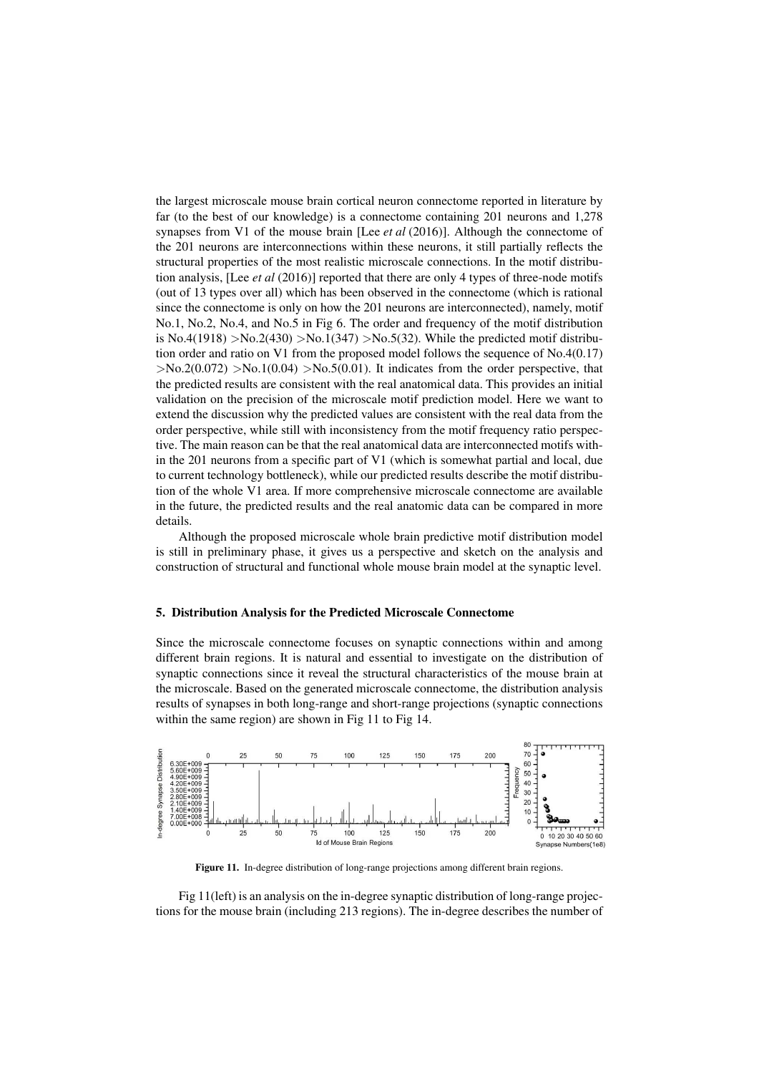the largest microscale mouse brain cortical neuron connectome reported in literature by far (to the best of our knowledge) is a connectome containing 201 neurons and 1,278 synapses from V1 of the mouse brain [Lee *et al* (2016)]. Although the connectome of the 201 neurons are interconnections within these neurons, it still partially reflects the structural properties of the most realistic microscale connections. In the motif distribution analysis, [Lee *et al* (2016)] reported that there are only 4 types of three-node motifs (out of 13 types over all) which has been observed in the connectome (which is rational since the connectome is only on how the 201 neurons are interconnected), namely, motif No.1, No.2, No.4, and No.5 in Fig 6. The order and frequency of the motif distribution is No.4(1918) >No.2(430) >No.1(347) >No.5(32). While the predicted motif distribution order and ratio on V1 from the proposed model follows the sequence of No.4(0.17)  $>$ No.2(0.072)  $>$ No.1(0.04)  $>$ No.5(0.01). It indicates from the order perspective, that the predicted results are consistent with the real anatomical data. This provides an initial validation on the precision of the microscale motif prediction model. Here we want to extend the discussion why the predicted values are consistent with the real data from the order perspective, while still with inconsistency from the motif frequency ratio perspective. The main reason can be that the real anatomical data are interconnected motifs within the 201 neurons from a specific part of V1 (which is somewhat partial and local, due to current technology bottleneck), while our predicted results describe the motif distribution of the whole V1 area. If more comprehensive microscale connectome are available in the future, the predicted results and the real anatomic data can be compared in more details.

Although the proposed microscale whole brain predictive motif distribution model is still in preliminary phase, it gives us a perspective and sketch on the analysis and construction of structural and functional whole mouse brain model at the synaptic level.

## 5. Distribution Analysis for the Predicted Microscale Connectome

Since the microscale connectome focuses on synaptic connections within and among different brain regions. It is natural and essential to investigate on the distribution of synaptic connections since it reveal the structural characteristics of the mouse brain at the microscale. Based on the generated microscale connectome, the distribution analysis results of synapses in both long-range and short-range projections (synaptic connections within the same region) are shown in Fig 11 to Fig 14.



Figure 11. In-degree distribution of long-range projections among different brain regions.

Fig 11(left) is an analysis on the in-degree synaptic distribution of long-range projections for the mouse brain (including 213 regions). The in-degree describes the number of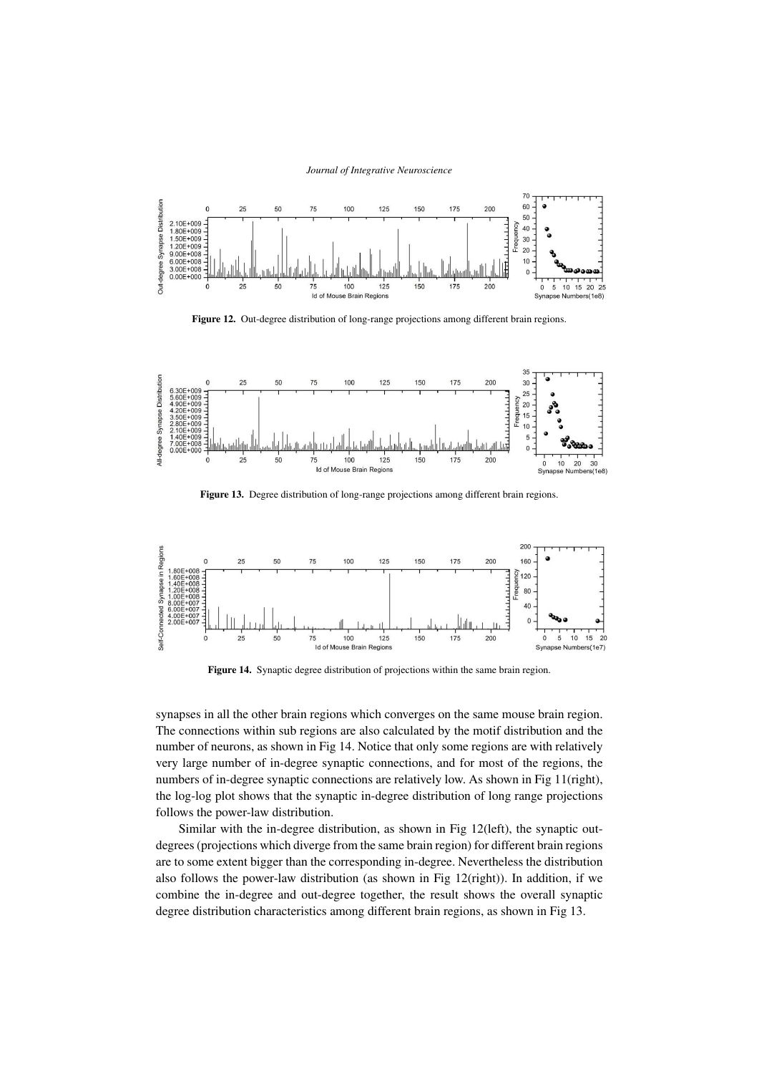

Figure 12. Out-degree distribution of long-range projections among different brain regions.



Figure 13. Degree distribution of long-range projections among different brain regions.



Figure 14. Synaptic degree distribution of projections within the same brain region.

synapses in all the other brain regions which converges on the same mouse brain region. The connections within sub regions are also calculated by the motif distribution and the number of neurons, as shown in Fig 14. Notice that only some regions are with relatively very large number of in-degree synaptic connections, and for most of the regions, the numbers of in-degree synaptic connections are relatively low. As shown in Fig 11(right), the log-log plot shows that the synaptic in-degree distribution of long range projections follows the power-law distribution.

Similar with the in-degree distribution, as shown in Fig 12(left), the synaptic outdegrees (projections which diverge from the same brain region) for different brain regions are to some extent bigger than the corresponding in-degree. Nevertheless the distribution also follows the power-law distribution (as shown in Fig 12(right)). In addition, if we combine the in-degree and out-degree together, the result shows the overall synaptic degree distribution characteristics among different brain regions, as shown in Fig 13.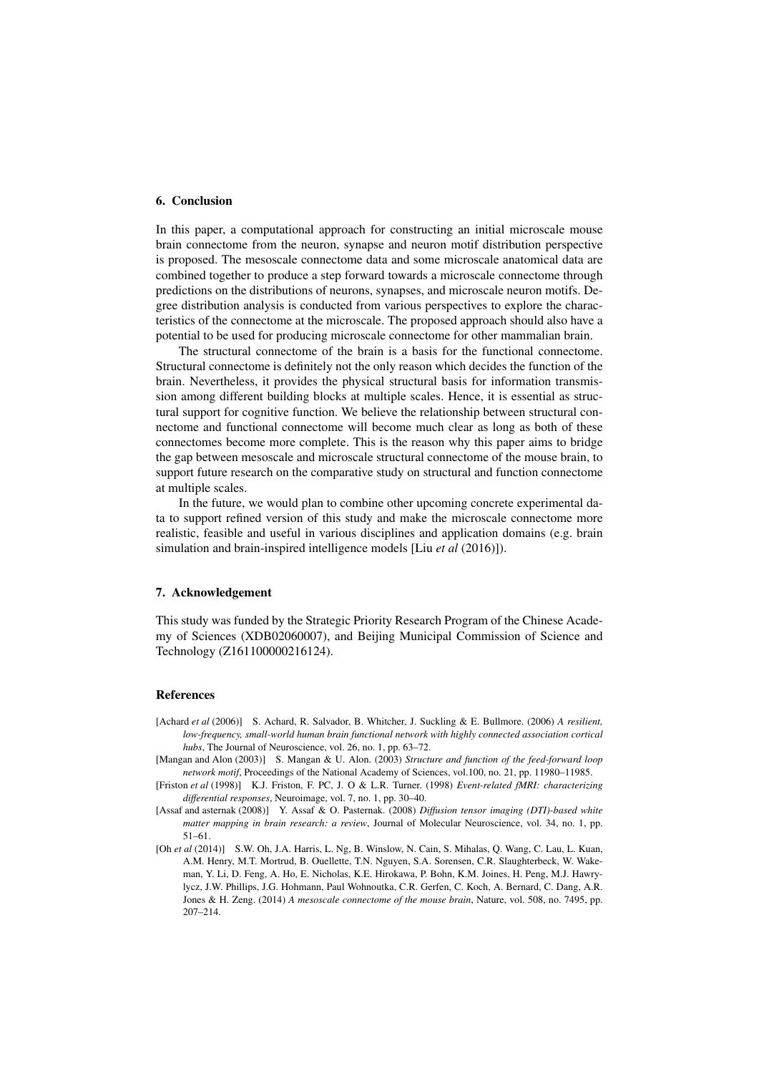# 6. Conclusion

In this paper, a computational approach for constructing an initial microscale mouse brain connectome from the neuron, synapse and neuron motif distribution perspective is proposed. The mesoscale connectome data and some microscale anatomical data are combined together to produce a step forward towards a microscale connectome through predictions on the distributions of neurons, synapses, and microscale neuron motifs. Degree distribution analysis is conducted from various perspectives to explore the characteristics of the connectome at the microscale. The proposed approach should also have a potential to be used for producing microscale connectome for other mammalian brain.

The structural connectome of the brain is a basis for the functional connectome. Structural connectome is definitely not the only reason which decides the function of the brain. Nevertheless, it provides the physical structural basis for information transmission among different building blocks at multiple scales. Hence, it is essential as structural support for cognitive function. We believe the relationship between structural connectome and functional connectome will become much clear as long as both of these connectomes become more complete. This is the reason why this paper aims to bridge the gap between mesoscale and microscale structural connectome of the mouse brain, to support future research on the comparative study on structural and function connectome at multiple scales.

In the future, we would plan to combine other upcoming concrete experimental data to support refined version of this study and make the microscale connectome more realistic, feasible and useful in various disciplines and application domains (e.g. brain simulation and brain-inspired intelligence models [Liu *et al* (2016)]).

## 7. Acknowledgement

This study was funded by the Strategic Priority Research Program of the Chinese Academy of Sciences (XDB02060007), and Beijing Municipal Commission of Science and Technology (Z161100000216124).

# References

- [Achard *et al* (2006)] S. Achard, R. Salvador, B. Whitcher, J. Suckling & E. Bullmore. (2006) *A resilient, low-frequency, small-world human brain functional network with highly connected association cortical hubs*, The Journal of Neuroscience, vol. 26, no. 1, pp. 63–72.
- [Mangan and Alon (2003)] S. Mangan & U. Alon. (2003) *Structure and function of the feed-forward loop network motif*, Proceedings of the National Academy of Sciences, vol.100, no. 21, pp. 11980–11985.
- [Friston *et al* (1998)] K.J. Friston, F. PC, J. O & L.R. Turner. (1998) *Event-related fMRI: characterizing differential responses*, Neuroimage, vol. 7, no. 1, pp. 30–40.
- [Assaf and asternak (2008)] Y. Assaf & O. Pasternak. (2008) *Diffusion tensor imaging (DTI)-based white matter mapping in brain research: a review*, Journal of Molecular Neuroscience, vol. 34, no. 1, pp. 51–61.
- [Oh *et al* (2014)] S.W. Oh, J.A. Harris, L. Ng, B. Winslow, N. Cain, S. Mihalas, Q. Wang, C. Lau, L. Kuan, A.M. Henry, M.T. Mortrud, B. Ouellette, T.N. Nguyen, S.A. Sorensen, C.R. Slaughterbeck, W. Wakeman, Y. Li, D. Feng, A. Ho, E. Nicholas, K.E. Hirokawa, P. Bohn, K.M. Joines, H. Peng, M.J. Hawrylycz, J.W. Phillips, J.G. Hohmann, Paul Wohnoutka, C.R. Gerfen, C. Koch, A. Bernard, C. Dang, A.R. Jones & H. Zeng. (2014) *A mesoscale connectome of the mouse brain*, Nature, vol. 508, no. 7495, pp. 207–214.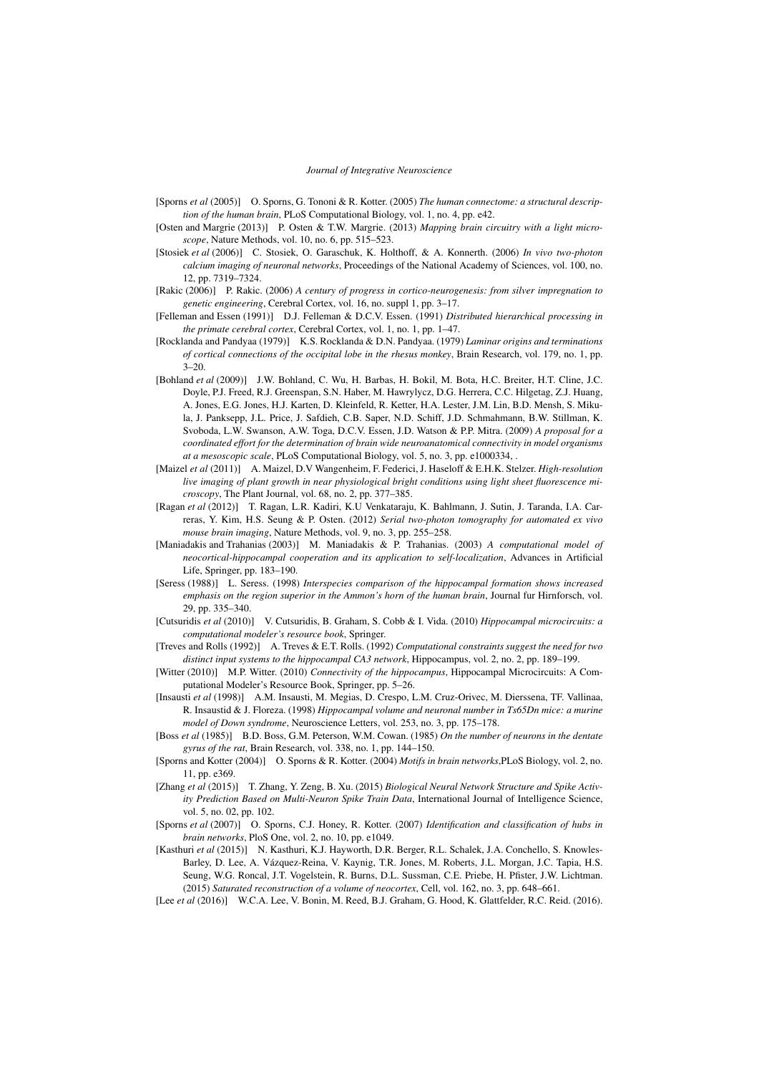- [Sporns *et al* (2005)] O. Sporns, G. Tononi & R. Kotter. (2005) *The human connectome: a structural description of the human brain*, PLoS Computational Biology, vol. 1, no. 4, pp. e42.
- [Osten and Margrie (2013)] P. Osten & T.W. Margrie. (2013) *Mapping brain circuitry with a light microscope*, Nature Methods, vol. 10, no. 6, pp. 515–523.
- [Stosiek *et al* (2006)] C. Stosiek, O. Garaschuk, K. Holthoff, & A. Konnerth. (2006) *In vivo two-photon calcium imaging of neuronal networks*, Proceedings of the National Academy of Sciences, vol. 100, no. 12, pp. 7319–7324.
- [Rakic (2006)] P. Rakic. (2006) *A century of progress in cortico-neurogenesis: from silver impregnation to genetic engineering*, Cerebral Cortex, vol. 16, no. suppl 1, pp. 3–17.
- [Felleman and Essen (1991)] D.J. Felleman & D.C.V. Essen. (1991) *Distributed hierarchical processing in the primate cerebral cortex*, Cerebral Cortex, vol. 1, no. 1, pp. 1–47.
- [Rocklanda and Pandyaa (1979)] K.S. Rocklanda & D.N. Pandyaa. (1979) *Laminar origins and terminations of cortical connections of the occipital lobe in the rhesus monkey*, Brain Research, vol. 179, no. 1, pp.  $3 - 20.$
- [Bohland *et al* (2009)] J.W. Bohland, C. Wu, H. Barbas, H. Bokil, M. Bota, H.C. Breiter, H.T. Cline, J.C. Doyle, P.J. Freed, R.J. Greenspan, S.N. Haber, M. Hawrylycz, D.G. Herrera, C.C. Hilgetag, Z.J. Huang, A. Jones, E.G. Jones, H.J. Karten, D. Kleinfeld, R. Ketter, H.A. Lester, J.M. Lin, B.D. Mensh, S. Mikula, J. Panksepp, J.L. Price, J. Safdieh, C.B. Saper, N.D. Schiff, J.D. Schmahmann, B.W. Stillman, K. Svoboda, L.W. Swanson, A.W. Toga, D.C.V. Essen, J.D. Watson & P.P. Mitra. (2009) *A proposal for a coordinated effort for the determination of brain wide neuroanatomical connectivity in model organisms at a mesoscopic scale*, PLoS Computational Biology, vol. 5, no. 3, pp. e1000334, .
- [Maizel *et al* (2011)] A. Maizel, D.V Wangenheim, F. Federici, J. Haseloff & E.H.K. Stelzer. *High-resolution live imaging of plant growth in near physiological bright conditions using light sheet fluorescence microscopy*, The Plant Journal, vol. 68, no. 2, pp. 377–385.
- [Ragan *et al* (2012)] T. Ragan, L.R. Kadiri, K.U Venkataraju, K. Bahlmann, J. Sutin, J. Taranda, I.A. Carreras, Y. Kim, H.S. Seung & P. Osten. (2012) *Serial two-photon tomography for automated ex vivo mouse brain imaging*, Nature Methods, vol. 9, no. 3, pp. 255–258.
- [Maniadakis and Trahanias (2003)] M. Maniadakis & P. Trahanias. (2003) *A computational model of neocortical-hippocampal cooperation and its application to self-localization*, Advances in Artificial Life, Springer, pp. 183–190.
- [Seress (1988)] L. Seress. (1998) *Interspecies comparison of the hippocampal formation shows increased emphasis on the region superior in the Ammon's horn of the human brain*, Journal fur Hirnforsch, vol. 29, pp. 335–340.
- [Cutsuridis *et al* (2010)] V. Cutsuridis, B. Graham, S. Cobb & I. Vida. (2010) *Hippocampal microcircuits: a computational modeler's resource book*, Springer.
- [Treves and Rolls (1992)] A. Treves & E.T. Rolls. (1992) *Computational constraints suggest the need for two distinct input systems to the hippocampal CA3 network*, Hippocampus, vol. 2, no. 2, pp. 189–199.
- [Witter (2010)] M.P. Witter. (2010) *Connectivity of the hippocampus*, Hippocampal Microcircuits: A Computational Modeler's Resource Book, Springer, pp. 5–26.
- [Insausti *et al* (1998)] A.M. Insausti, M. Megias, D. Crespo, L.M. Cruz-Orivec, M. Dierssena, TF. Vallinaa, R. Insaustid & J. Floreza. (1998) *Hippocampal volume and neuronal number in Ts65Dn mice: a murine model of Down syndrome*, Neuroscience Letters, vol. 253, no. 3, pp. 175–178.
- [Boss *et al* (1985)] B.D. Boss, G.M. Peterson, W.M. Cowan. (1985) *On the number of neurons in the dentate gyrus of the rat*, Brain Research, vol. 338, no. 1, pp. 144–150.
- [Sporns and Kotter (2004)] O. Sporns & R. Kotter. (2004) *Motifs in brain networks*,PLoS Biology, vol. 2, no. 11, pp. e369.
- [Zhang *et al* (2015)] T. Zhang, Y. Zeng, B. Xu. (2015) *Biological Neural Network Structure and Spike Activity Prediction Based on Multi-Neuron Spike Train Data*, International Journal of Intelligence Science, vol. 5, no. 02, pp. 102.
- [Sporns *et al* (2007)] O. Sporns, C.J. Honey, R. Kotter. (2007) *Identification and classification of hubs in brain networks*, PloS One, vol. 2, no. 10, pp. e1049.
- [Kasthuri *et al* (2015)] N. Kasthuri, K.J. Hayworth, D.R. Berger, R.L. Schalek, J.A. Conchello, S. Knowles-Barley, D. Lee, A. Vazquez-Reina, V. Kaynig, T.R. Jones, M. Roberts, J.L. Morgan, J.C. Tapia, H.S. ´ Seung, W.G. Roncal, J.T. Vogelstein, R. Burns, D.L. Sussman, C.E. Priebe, H. Pfister, J.W. Lichtman. (2015) *Saturated reconstruction of a volume of neocortex*, Cell, vol. 162, no. 3, pp. 648–661.
- [Lee *et al* (2016)] W.C.A. Lee, V. Bonin, M. Reed, B.J. Graham, G. Hood, K. Glattfelder, R.C. Reid. (2016).